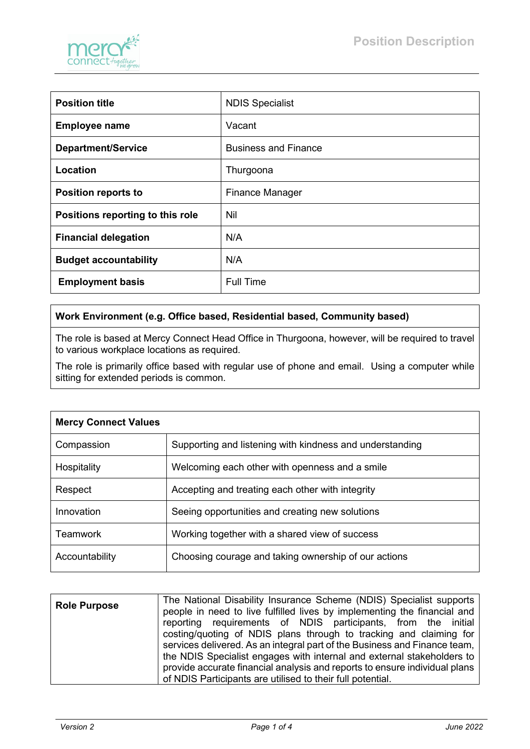

| <b>Position title</b>            | <b>NDIS Specialist</b>      |
|----------------------------------|-----------------------------|
| <b>Employee name</b>             | Vacant                      |
| <b>Department/Service</b>        | <b>Business and Finance</b> |
| Location                         | Thurgoona                   |
| <b>Position reports to</b>       | <b>Finance Manager</b>      |
| Positions reporting to this role | Nil                         |
| <b>Financial delegation</b>      | N/A                         |
| <b>Budget accountability</b>     | N/A                         |
| <b>Employment basis</b>          | <b>Full Time</b>            |

## **Work Environment (e.g. Office based, Residential based, Community based)**

The role is based at Mercy Connect Head Office in Thurgoona, however, will be required to travel to various workplace locations as required.

The role is primarily office based with regular use of phone and email. Using a computer while sitting for extended periods is common.

| <b>Mercy Connect Values</b> |                                                          |
|-----------------------------|----------------------------------------------------------|
| Compassion                  | Supporting and listening with kindness and understanding |
| Hospitality                 | Welcoming each other with openness and a smile           |
| Respect                     | Accepting and treating each other with integrity         |
| Innovation                  | Seeing opportunities and creating new solutions          |
| <b>Teamwork</b>             | Working together with a shared view of success           |
| Accountability              | Choosing courage and taking ownership of our actions     |

| <b>Role Purpose</b> | The National Disability Insurance Scheme (NDIS) Specialist supports        |  |  |  |  |
|---------------------|----------------------------------------------------------------------------|--|--|--|--|
|                     | people in need to live fulfilled lives by implementing the financial and   |  |  |  |  |
|                     | reporting requirements of NDIS participants, from the initial              |  |  |  |  |
|                     | costing/quoting of NDIS plans through to tracking and claiming for         |  |  |  |  |
|                     | services delivered. As an integral part of the Business and Finance team,  |  |  |  |  |
|                     | the NDIS Specialist engages with internal and external stakeholders to     |  |  |  |  |
|                     | provide accurate financial analysis and reports to ensure individual plans |  |  |  |  |
|                     | of NDIS Participants are utilised to their full potential.                 |  |  |  |  |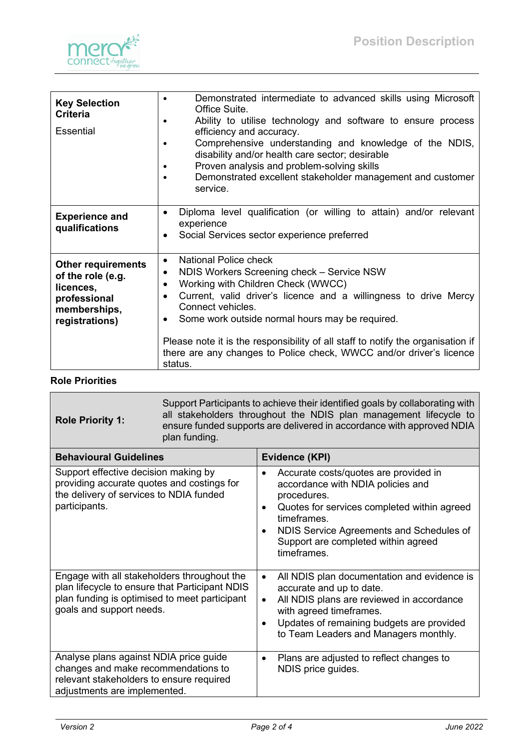

| <b>Key Selection</b><br><b>Criteria</b><br>Essential                                                          | Demonstrated intermediate to advanced skills using Microsoft<br>Office Suite.<br>Ability to utilise technology and software to ensure process<br>efficiency and accuracy.<br>Comprehensive understanding and knowledge of the NDIS,<br>disability and/or health care sector; desirable<br>Proven analysis and problem-solving skills<br>Demonstrated excellent stakeholder management and customer<br>service.                                                                      |
|---------------------------------------------------------------------------------------------------------------|-------------------------------------------------------------------------------------------------------------------------------------------------------------------------------------------------------------------------------------------------------------------------------------------------------------------------------------------------------------------------------------------------------------------------------------------------------------------------------------|
| <b>Experience and</b><br>qualifications                                                                       | Diploma level qualification (or willing to attain) and/or relevant<br>$\bullet$<br>experience<br>Social Services sector experience preferred<br>$\bullet$                                                                                                                                                                                                                                                                                                                           |
| <b>Other requirements</b><br>of the role (e.g.<br>licences,<br>professional<br>memberships,<br>registrations) | National Police check<br>$\bullet$<br>NDIS Workers Screening check - Service NSW<br>٠<br>Working with Children Check (WWCC)<br>$\bullet$<br>Current, valid driver's licence and a willingness to drive Mercy<br>$\bullet$<br>Connect vehicles.<br>Some work outside normal hours may be required.<br>$\bullet$<br>Please note it is the responsibility of all staff to notify the organisation if<br>there are any changes to Police check, WWCC and/or driver's licence<br>status. |

## **Role Priorities**

| <b>Role Priority 1:</b>                                                                                                                                                    | Support Participants to achieve their identified goals by collaborating with<br>all stakeholders throughout the NDIS plan management lifecycle to<br>ensure funded supports are delivered in accordance with approved NDIA<br>plan funding. |                                                                                                                                                                                                                                                                                          |  |  |
|----------------------------------------------------------------------------------------------------------------------------------------------------------------------------|---------------------------------------------------------------------------------------------------------------------------------------------------------------------------------------------------------------------------------------------|------------------------------------------------------------------------------------------------------------------------------------------------------------------------------------------------------------------------------------------------------------------------------------------|--|--|
| <b>Behavioural Guidelines</b>                                                                                                                                              |                                                                                                                                                                                                                                             | Evidence (KPI)                                                                                                                                                                                                                                                                           |  |  |
| Support effective decision making by<br>providing accurate quotes and costings for<br>the delivery of services to NDIA funded<br>participants.                             |                                                                                                                                                                                                                                             | Accurate costs/quotes are provided in<br>$\bullet$<br>accordance with NDIA policies and<br>procedures.<br>Quotes for services completed within agreed<br>$\bullet$<br>timeframes.<br>NDIS Service Agreements and Schedules of<br>٠<br>Support are completed within agreed<br>timeframes. |  |  |
| Engage with all stakeholders throughout the<br>plan lifecycle to ensure that Participant NDIS<br>plan funding is optimised to meet participant<br>goals and support needs. |                                                                                                                                                                                                                                             | All NDIS plan documentation and evidence is<br>$\bullet$<br>accurate and up to date.<br>All NDIS plans are reviewed in accordance<br>$\bullet$<br>with agreed timeframes.<br>Updates of remaining budgets are provided<br>$\bullet$<br>to Team Leaders and Managers monthly.             |  |  |
| Analyse plans against NDIA price guide<br>changes and make recommendations to<br>relevant stakeholders to ensure required<br>adjustments are implemented.                  |                                                                                                                                                                                                                                             | Plans are adjusted to reflect changes to<br>NDIS price guides.                                                                                                                                                                                                                           |  |  |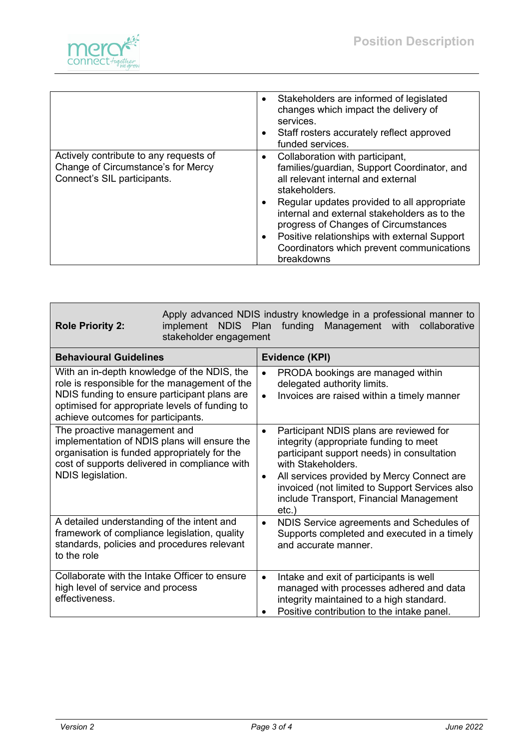

|                                                                                                             | • Stakeholders are informed of legislated<br>changes which impact the delivery of<br>services.<br>Staff rosters accurately reflect approved<br>funded services.                                                                                                                                                                                                                           |
|-------------------------------------------------------------------------------------------------------------|-------------------------------------------------------------------------------------------------------------------------------------------------------------------------------------------------------------------------------------------------------------------------------------------------------------------------------------------------------------------------------------------|
| Actively contribute to any requests of<br>Change of Circumstance's for Mercy<br>Connect's SIL participants. | • Collaboration with participant,<br>families/guardian, Support Coordinator, and<br>all relevant internal and external<br>stakeholders.<br>Regular updates provided to all appropriate<br>internal and external stakeholders as to the<br>progress of Changes of Circumstances<br>Positive relationships with external Support<br>Coordinators which prevent communications<br>breakdowns |

| <b>Role Priority 2:</b>                                                                                                                                                                                                              | Apply advanced NDIS industry knowledge in a professional manner to<br>implement NDIS Plan<br>funding<br>Management with<br>collaborative<br>stakeholder engagement |                        |                                                                                                                                                                                                                                                                                                              |  |
|--------------------------------------------------------------------------------------------------------------------------------------------------------------------------------------------------------------------------------------|--------------------------------------------------------------------------------------------------------------------------------------------------------------------|------------------------|--------------------------------------------------------------------------------------------------------------------------------------------------------------------------------------------------------------------------------------------------------------------------------------------------------------|--|
| <b>Behavioural Guidelines</b>                                                                                                                                                                                                        |                                                                                                                                                                    |                        | Evidence (KPI)                                                                                                                                                                                                                                                                                               |  |
| With an in-depth knowledge of the NDIS, the<br>role is responsible for the management of the<br>NDIS funding to ensure participant plans are<br>optimised for appropriate levels of funding to<br>achieve outcomes for participants. |                                                                                                                                                                    | $\bullet$              | PRODA bookings are managed within<br>delegated authority limits.<br>Invoices are raised within a timely manner                                                                                                                                                                                               |  |
| The proactive management and<br>implementation of NDIS plans will ensure the<br>organisation is funded appropriately for the<br>cost of supports delivered in compliance with<br>NDIS legislation.                                   |                                                                                                                                                                    | $\bullet$<br>$\bullet$ | Participant NDIS plans are reviewed for<br>integrity (appropriate funding to meet<br>participant support needs) in consultation<br>with Stakeholders.<br>All services provided by Mercy Connect are<br>invoiced (not limited to Support Services also<br>include Transport, Financial Management<br>$etc.$ ) |  |
| A detailed understanding of the intent and<br>framework of compliance legislation, quality<br>standards, policies and procedures relevant<br>to the role                                                                             |                                                                                                                                                                    | $\bullet$              | NDIS Service agreements and Schedules of<br>Supports completed and executed in a timely<br>and accurate manner.                                                                                                                                                                                              |  |
| Collaborate with the Intake Officer to ensure<br>high level of service and process<br>effectiveness.                                                                                                                                 |                                                                                                                                                                    | $\bullet$              | Intake and exit of participants is well<br>managed with processes adhered and data<br>integrity maintained to a high standard.<br>Positive contribution to the intake panel.                                                                                                                                 |  |